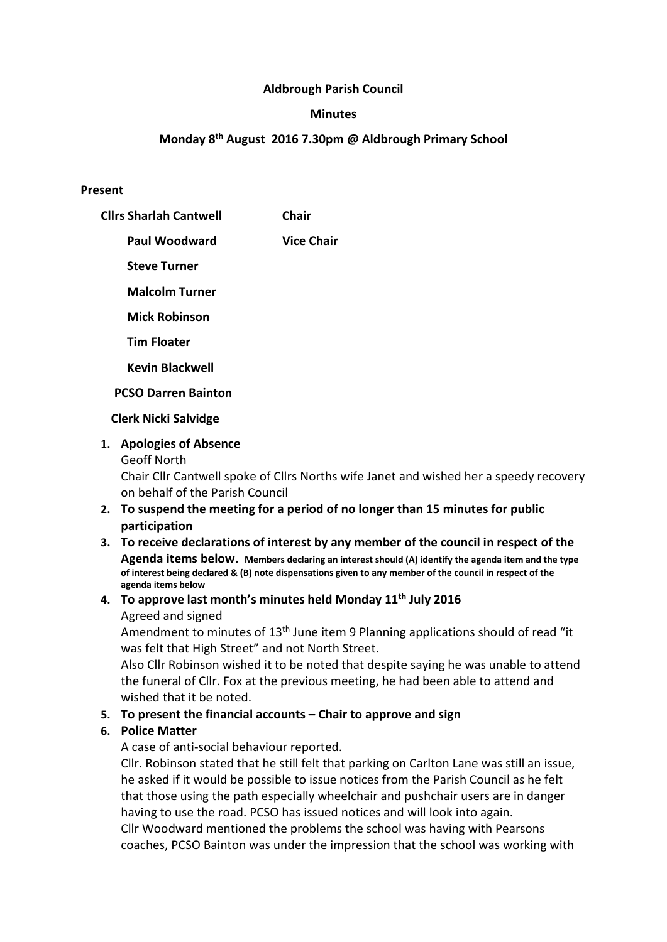### Aldbrough Parish Council

#### **Minutes**

# Monday 8th August 2016 7.30pm @ Aldbrough Primary School

#### Present

| <b>Clirs Sharlah Cantwell</b> | Chair             |
|-------------------------------|-------------------|
| Paul Woodward                 | <b>Vice Chair</b> |
| <b>Steve Turner</b>           |                   |
| <b>Malcolm Turner</b>         |                   |
| <b>Mick Robinson</b>          |                   |
| <b>Tim Floater</b>            |                   |
| <b>Kevin Blackwell</b>        |                   |
| <b>PCSO Darren Bainton</b>    |                   |

#### Clerk Nicki Salvidge

### 1. Apologies of Absence

Geoff North

Chair Cllr Cantwell spoke of Cllrs Norths wife Janet and wished her a speedy recovery on behalf of the Parish Council

- 2. To suspend the meeting for a period of no longer than 15 minutes for public participation
- 3. To receive declarations of interest by any member of the council in respect of the Agenda items below. Members declaring an interest should (A) identify the agenda item and the type of interest being declared & (B) note dispensations given to any member of the council in respect of the agenda items below

#### 4. To approve last month's minutes held Monday  $11<sup>th</sup>$  July 2016 Agreed and signed

Amendment to minutes of 13<sup>th</sup> June item 9 Planning applications should of read "it was felt that High Street" and not North Street.

Also Cllr Robinson wished it to be noted that despite saying he was unable to attend the funeral of Cllr. Fox at the previous meeting, he had been able to attend and wished that it be noted.

### 5. To present the financial accounts – Chair to approve and sign

### 6. Police Matter

A case of anti-social behaviour reported.

Cllr. Robinson stated that he still felt that parking on Carlton Lane was still an issue, he asked if it would be possible to issue notices from the Parish Council as he felt that those using the path especially wheelchair and pushchair users are in danger having to use the road. PCSO has issued notices and will look into again.

Cllr Woodward mentioned the problems the school was having with Pearsons coaches, PCSO Bainton was under the impression that the school was working with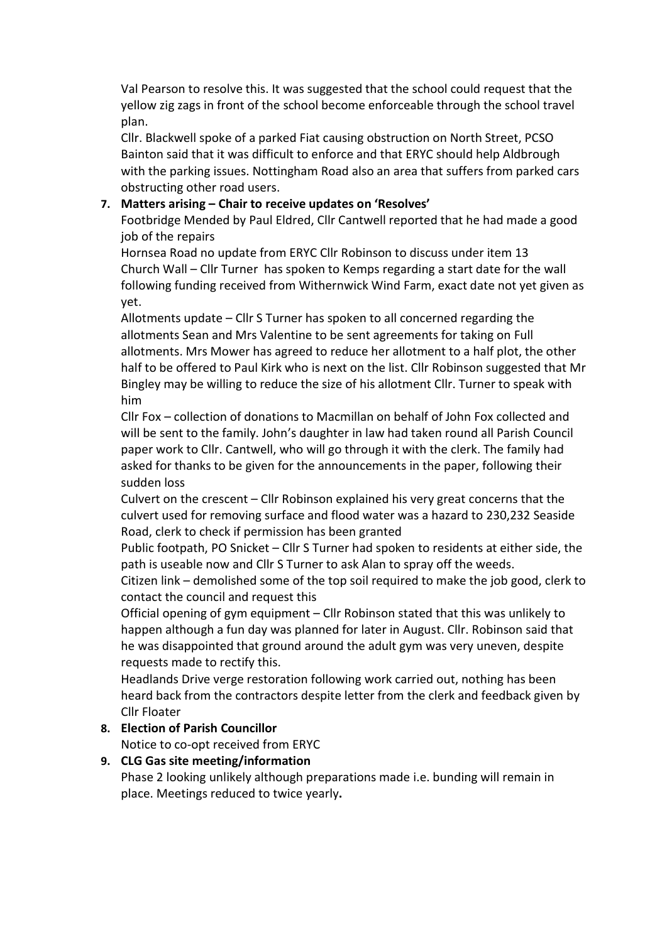Val Pearson to resolve this. It was suggested that the school could request that the yellow zig zags in front of the school become enforceable through the school travel plan.

Cllr. Blackwell spoke of a parked Fiat causing obstruction on North Street, PCSO Bainton said that it was difficult to enforce and that ERYC should help Aldbrough with the parking issues. Nottingham Road also an area that suffers from parked cars obstructing other road users.

## 7. Matters arising – Chair to receive updates on 'Resolves'

Footbridge Mended by Paul Eldred, Cllr Cantwell reported that he had made a good job of the repairs

Hornsea Road no update from ERYC Cllr Robinson to discuss under item 13 Church Wall – Cllr Turner has spoken to Kemps regarding a start date for the wall following funding received from Withernwick Wind Farm, exact date not yet given as yet.

Allotments update – Cllr S Turner has spoken to all concerned regarding the allotments Sean and Mrs Valentine to be sent agreements for taking on Full allotments. Mrs Mower has agreed to reduce her allotment to a half plot, the other half to be offered to Paul Kirk who is next on the list. Cllr Robinson suggested that Mr Bingley may be willing to reduce the size of his allotment Cllr. Turner to speak with him

Cllr Fox – collection of donations to Macmillan on behalf of John Fox collected and will be sent to the family. John's daughter in law had taken round all Parish Council paper work to Cllr. Cantwell, who will go through it with the clerk. The family had asked for thanks to be given for the announcements in the paper, following their sudden loss

Culvert on the crescent – Cllr Robinson explained his very great concerns that the culvert used for removing surface and flood water was a hazard to 230,232 Seaside Road, clerk to check if permission has been granted

Public footpath, PO Snicket – Cllr S Turner had spoken to residents at either side, the path is useable now and Cllr S Turner to ask Alan to spray off the weeds.

Citizen link – demolished some of the top soil required to make the job good, clerk to contact the council and request this

Official opening of gym equipment – Cllr Robinson stated that this was unlikely to happen although a fun day was planned for later in August. Cllr. Robinson said that he was disappointed that ground around the adult gym was very uneven, despite requests made to rectify this.

Headlands Drive verge restoration following work carried out, nothing has been heard back from the contractors despite letter from the clerk and feedback given by Cllr Floater

### 8. Election of Parish Councillor

Notice to co-opt received from ERYC

### 9. CLG Gas site meeting/information

Phase 2 looking unlikely although preparations made i.e. bunding will remain in place. Meetings reduced to twice yearly.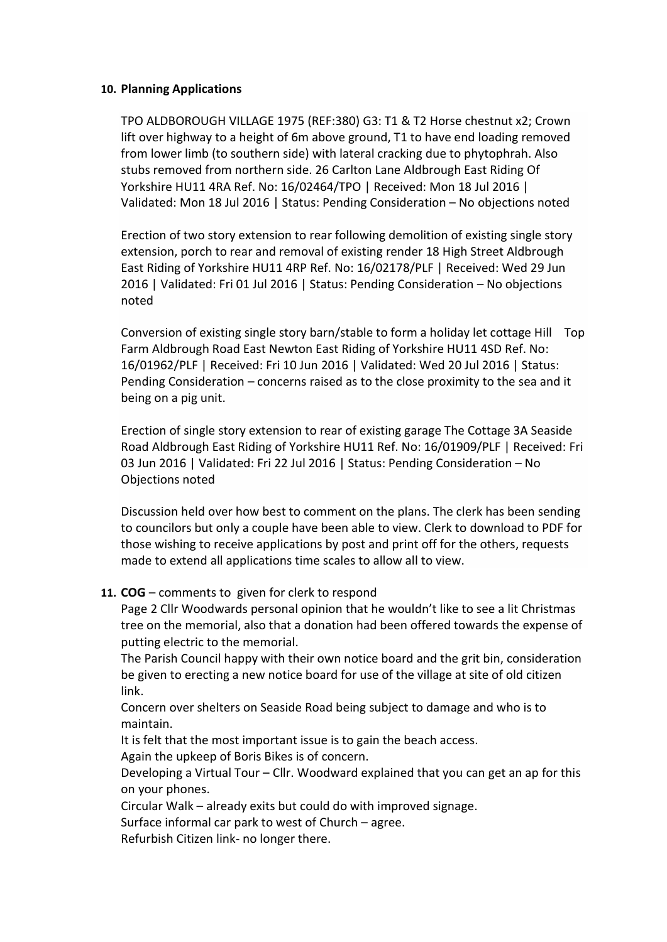#### 10. Planning Applications

TPO ALDBOROUGH VILLAGE 1975 (REF:380) G3: T1 & T2 Horse chestnut x2; Crown lift over highway to a height of 6m above ground, T1 to have end loading removed from lower limb (to southern side) with lateral cracking due to phytophrah. Also stubs removed from northern side. 26 Carlton Lane Aldbrough East Riding Of Yorkshire HU11 4RA Ref. No: 16/02464/TPO | Received: Mon 18 Jul 2016 | Validated: Mon 18 Jul 2016 | Status: Pending Consideration – No objections noted

Erection of two story extension to rear following demolition of existing single story extension, porch to rear and removal of existing render 18 High Street Aldbrough East Riding of Yorkshire HU11 4RP Ref. No: 16/02178/PLF | Received: Wed 29 Jun 2016 | Validated: Fri 01 Jul 2016 | Status: Pending Consideration – No objections noted

Conversion of existing single story barn/stable to form a holiday let cottage Hill Top Farm Aldbrough Road East Newton East Riding of Yorkshire HU11 4SD Ref. No: 16/01962/PLF | Received: Fri 10 Jun 2016 | Validated: Wed 20 Jul 2016 | Status: Pending Consideration – concerns raised as to the close proximity to the sea and it being on a pig unit.

Erection of single story extension to rear of existing garage The Cottage 3A Seaside Road Aldbrough East Riding of Yorkshire HU11 Ref. No: 16/01909/PLF | Received: Fri 03 Jun 2016 | Validated: Fri 22 Jul 2016 | Status: Pending Consideration – No Objections noted

Discussion held over how best to comment on the plans. The clerk has been sending to councilors but only a couple have been able to view. Clerk to download to PDF for those wishing to receive applications by post and print off for the others, requests made to extend all applications time scales to allow all to view.

#### 11. COG – comments to given for clerk to respond

Page 2 Cllr Woodwards personal opinion that he wouldn't like to see a lit Christmas tree on the memorial, also that a donation had been offered towards the expense of putting electric to the memorial.

The Parish Council happy with their own notice board and the grit bin, consideration be given to erecting a new notice board for use of the village at site of old citizen link.

Concern over shelters on Seaside Road being subject to damage and who is to maintain.

It is felt that the most important issue is to gain the beach access.

Again the upkeep of Boris Bikes is of concern.

Developing a Virtual Tour – Cllr. Woodward explained that you can get an ap for this on your phones.

Circular Walk – already exits but could do with improved signage.

Surface informal car park to west of Church – agree.

Refurbish Citizen link- no longer there.